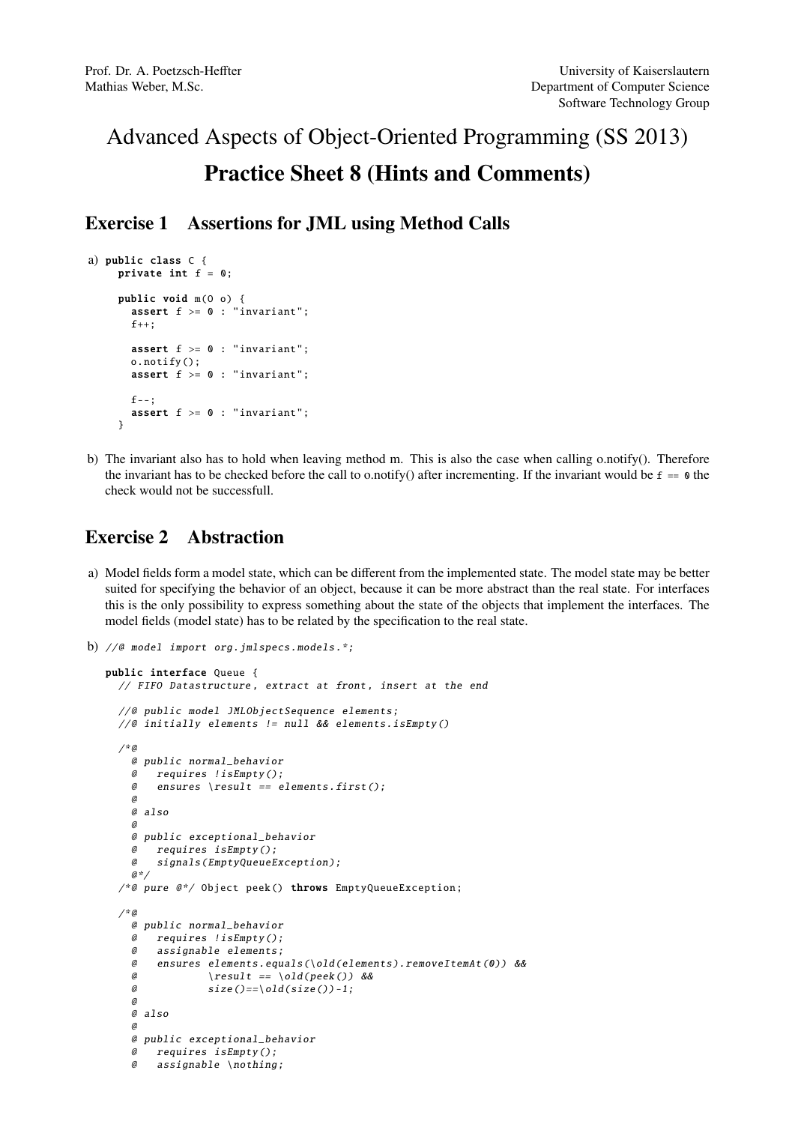## Advanced Aspects of Object-Oriented Programming (SS 2013) Practice Sheet 8 (Hints and Comments)

Exercise 1 Assertions for JML using Method Calls

```
a) public class C {
    private int f = 0;
     public void m(O o) {
       assert f \ge 0 : "invariant";
       f_{++}:
       assert f \ge 0 : "invariant":
       o.notify ();
       assert f \ge 0 : "invariant";
       f - -;
       assert f \ge 0 : "invariant";
    }
```
b) The invariant also has to hold when leaving method m. This is also the case when calling o.notify(). Therefore the invariant has to be checked before the call to o.notify() after incrementing. If the invariant would be  $f = \phi$  the check would not be successfull.

## Exercise 2 Abstraction

a) Model fields form a model state, which can be different from the implemented state. The model state may be better suited for specifying the behavior of an object, because it can be more abstract than the real state. For interfaces this is the only possibility to express something about the state of the objects that implement the interfaces. The model fields (model state) has to be related by the specification to the real state.

```
b) //@ model import org.jmlspecs.models .*;
```

```
public interface Queue {
 // FIFO Datastructure, extract at front, insert at the end
  //@ public model JMLObjectSequence elements;
 //@ initially elements != null && elements.isEmpty ()
  /*@
    @ public normal_behavior
    @ requires !isEmpty ();
    @ ensures \result == elements.first();
    @
    @ also
    @
    @ public exceptional_behavior
    @ requires isEmpty ();
    @ signals( EmptyQueueException );
    a*\ell^*@ pure @*/ Object peek() throws EmptyQueueException;
  /*@
    @ public normal_behavior
    @ requires !isEmpty ();
    @ assignable elements;
    @ ensures elements.equals (\ old(elements ). removeItemAt (0)) &&
    @ \vee \text{result} == \text{old}(peek()) &\&\emptyset size ()==\old(size())-1;
    @
    @ also
    @
    @ public exceptional_behavior
    @ requires isEmpty ();
    @ assignable \nothing;
```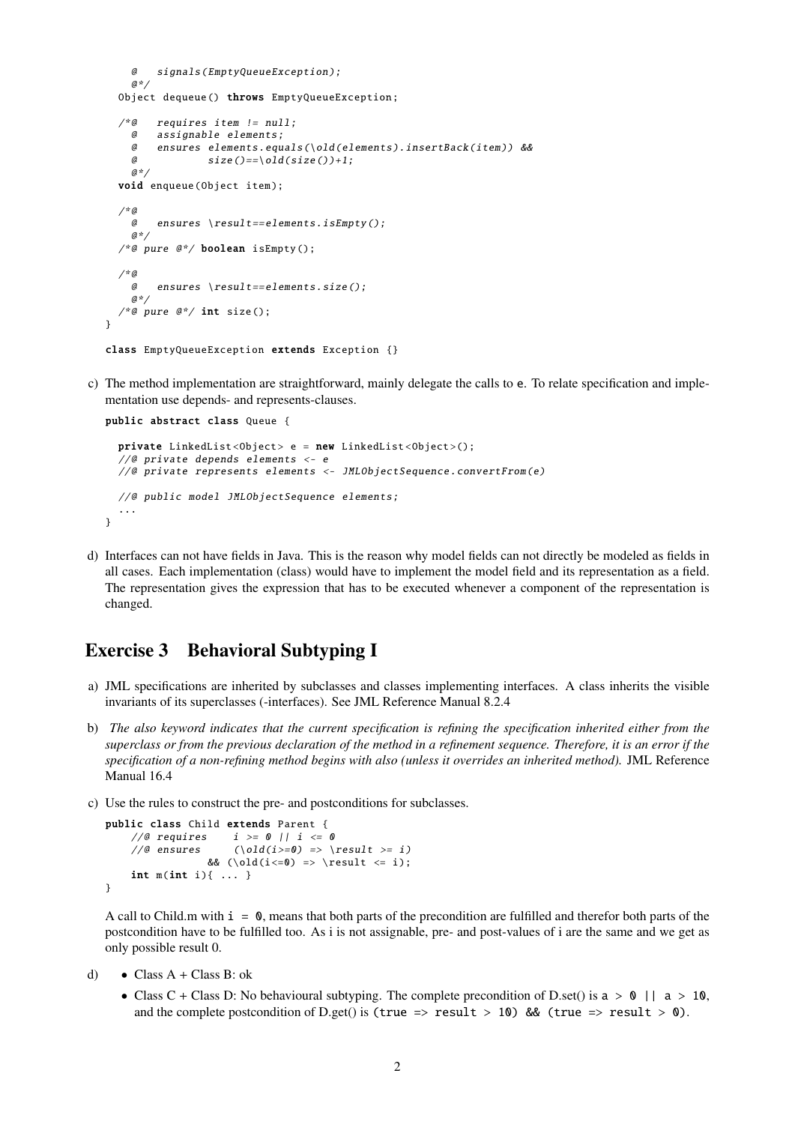```
@ signals( EmptyQueueException );
    a^*/Object dequeue () throws EmptyQueueException ;
  \angle^* \emptyset requires item != null;
    @ assignable elements;
    @ ensures elements.equals (\ old(elements ). insertBack (item )) &&
    \emptyset size()==\old(size())+1;
    a*void enqueue(Object item);
  /*@
    @ ensures \result == elements.isEmpty ();
    a*/*@ pure @*/ boolean isEmpty();
  /*@
    @ ensures \result == elements.size ();
    @*\tilde{f} * @ pure @ * / int size();}
class EmptyQueueException extends Exception {}
```
c) The method implementation are straightforward, mainly delegate the calls to e. To relate specification and implementation use depends- and represents-clauses.

```
public abstract class Queue {
```

```
private LinkedList<Object> e = new LinkedList<Object>();
  //@ private depends elements <- e
  //@ private represents elements <- JMLObjectSequence . convertFrom (e)
  //@ public model JMLObjectSequence elements;
  ...
}
```
d) Interfaces can not have fields in Java. This is the reason why model fields can not directly be modeled as fields in all cases. Each implementation (class) would have to implement the model field and its representation as a field. The representation gives the expression that has to be executed whenever a component of the representation is changed.

## Exercise 3 Behavioral Subtyping I

- a) JML specifications are inherited by subclasses and classes implementing interfaces. A class inherits the visible invariants of its superclasses (-interfaces). See JML Reference Manual 8.2.4
- b) *The also keyword indicates that the current specification is refining the specification inherited either from the superclass or from the previous declaration of the method in a refinement sequence. Therefore, it is an error if the specification of a non-refining method begins with also (unless it overrides an inherited method).* JML Reference Manual 16.4
- c) Use the rules to construct the pre- and postconditions for subclasses.

```
public class Child extends Parent {
   //@ requires i \ge 0 || i \le 0//@ ensures (\delta x)=0 => \result >= i)
               && (\delta(i<=0) => \result &lt;= i);int m(int i){ ... }
}
```
A call to Child.m with  $i = 0$ , means that both parts of the precondition are fulfilled and therefor both parts of the postcondition have to be fulfilled too. As i is not assignable, pre- and post-values of i are the same and we get as only possible result 0.

- d) Class  $A + Class B$ : ok
	- Class C + Class D: No behavioural subtyping. The complete precondition of D.set() is  $a > 0$  ||  $a > 10$ , and the complete postcondition of D.get() is (true => result > 10) && (true => result > 0).